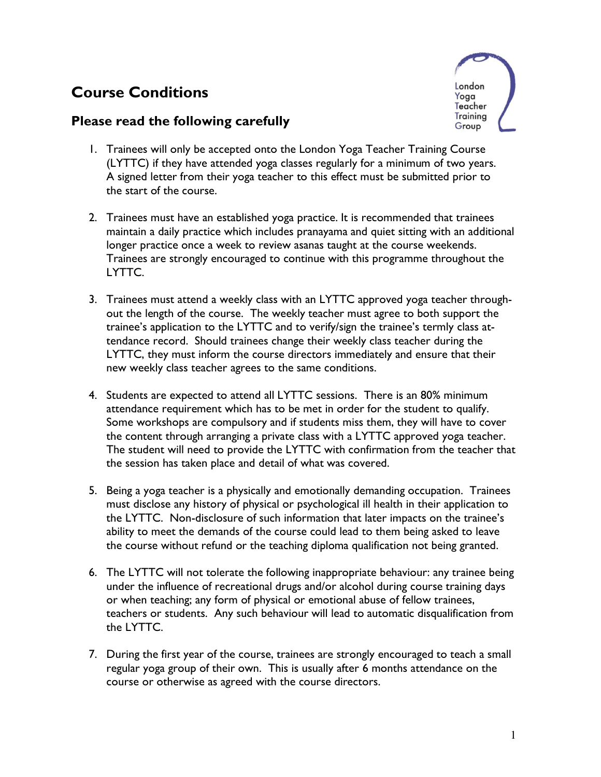## **Course Conditions**

## **Please read the following carefully**



- 1. Trainees will only be accepted onto the London Yoga Teacher Training Course (LYTTC) if they have attended yoga classes regularly for a minimum of two years. A signed letter from their yoga teacher to this effect must be submitted prior to the start of the course.
- 2. Trainees must have an established yoga practice. It is recommended that trainees maintain a daily practice which includes pranayama and quiet sitting with an additional longer practice once a week to review asanas taught at the course weekends. Trainees are strongly encouraged to continue with this programme throughout the LYTTC.
- 3. Trainees must attend a weekly class with an LYTTC approved yoga teacher throughout the length of the course. The weekly teacher must agree to both support the trainee's application to the LYTTC and to verify/sign the trainee's termly class attendance record. Should trainees change their weekly class teacher during the LYTTC, they must inform the course directors immediately and ensure that their new weekly class teacher agrees to the same conditions.
- 4. Students are expected to attend all LYTTC sessions. There is an 80% minimum attendance requirement which has to be met in order for the student to qualify. Some workshops are compulsory and if students miss them, they will have to cover the content through arranging a private class with a LYTTC approved yoga teacher. The student will need to provide the LYTTC with confirmation from the teacher that the session has taken place and detail of what was covered.
- 5. Being a yoga teacher is a physically and emotionally demanding occupation. Trainees must disclose any history of physical or psychological ill health in their application to the LYTTC. Non-disclosure of such information that later impacts on the trainee's ability to meet the demands of the course could lead to them being asked to leave the course without refund or the teaching diploma qualification not being granted.
- 6. The LYTTC will not tolerate the following inappropriate behaviour: any trainee being under the influence of recreational drugs and/or alcohol during course training days or when teaching; any form of physical or emotional abuse of fellow trainees, teachers or students. Any such behaviour will lead to automatic disqualification from the LYTTC.
- 7. During the first year of the course, trainees are strongly encouraged to teach a small regular yoga group of their own. This is usually after 6 months attendance on the course or otherwise as agreed with the course directors.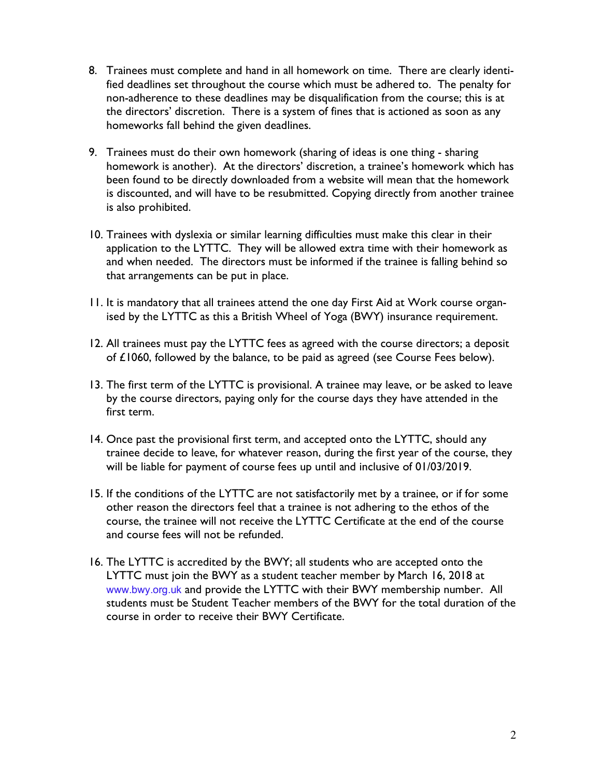- 8. Trainees must complete and hand in all homework on time. There are clearly identified deadlines set throughout the course which must be adhered to. The penalty for non-adherence to these deadlines may be disqualification from the course; this is at the directors' discretion. There is a system of fines that is actioned as soon as any homeworks fall behind the given deadlines.
- 9. Trainees must do their own homework (sharing of ideas is one thing sharing homework is another). At the directors' discretion, a trainee's homework which has been found to be directly downloaded from a website will mean that the homework is discounted, and will have to be resubmitted. Copying directly from another trainee is also prohibited.
- 10. Trainees with dyslexia or similar learning difficulties must make this clear in their application to the LYTTC. They will be allowed extra time with their homework as and when needed. The directors must be informed if the trainee is falling behind so that arrangements can be put in place.
- 11. It is mandatory that all trainees attend the one day First Aid at Work course organised by the LYTTC as this a British Wheel of Yoga (BWY) insurance requirement.
- 12. All trainees must pay the LYTTC fees as agreed with the course directors; a deposit of £1060, followed by the balance, to be paid as agreed (see Course Fees below).
- 13. The first term of the LYTTC is provisional. A trainee may leave, or be asked to leave by the course directors, paying only for the course days they have attended in the first term.
- 14. Once past the provisional first term, and accepted onto the LYTTC, should any trainee decide to leave, for whatever reason, during the first year of the course, they will be liable for payment of course fees up until and inclusive of 01/03/2019.
- 15. If the conditions of the LYTTC are not satisfactorily met by a trainee, or if for some other reason the directors feel that a trainee is not adhering to the ethos of the course, the trainee will not receive the LYTTC Certificate at the end of the course and course fees will not be refunded.
- 16. The LYTTC is accredited by the BWY; all students who are accepted onto the LYTTC must join the BWY as a student teacher member by March 16, 2018 at www.bwy.org.uk and provide the LYTTC with their BWY membership number. All students must be Student Teacher members of the BWY for the total duration of the course in order to receive their BWY Certificate.